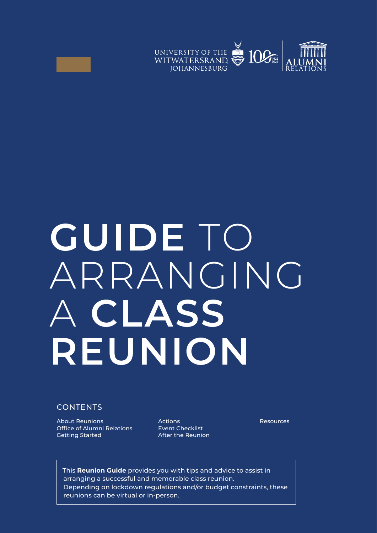



# **GUIDE** TO ARRANGING A **CLASS REUNION**

### **CONTENTS**

About Reunions **Resources Resources** Actions **Resources** Office of Alumni Relations Getting Started

Actions Event Checklist After the Reunion

This **Reunion Guide** provides you with tips and advice to assist in arranging a successful and memorable class reunion. Depending on lockdown regulations and/or budget constraints, these reunions can be virtual or in-person.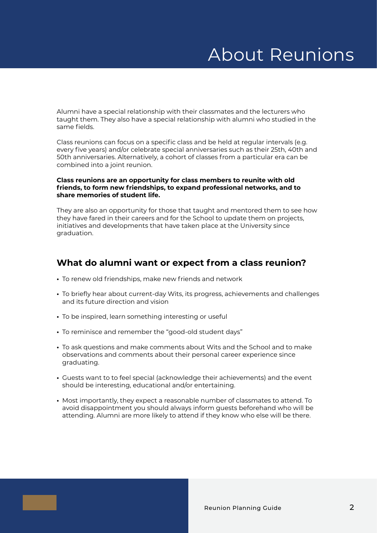# About Reunions

Alumni have a special relationship with their classmates and the lecturers who taught them. They also have a special relationship with alumni who studied in the same fields.

Class reunions can focus on a specific class and be held at regular intervals (e.g. every five years) and/or celebrate special anniversaries such as their 25th, 40th and 50th anniversaries. Alternatively, a cohort of classes from a particular era can be combined into a joint reunion.

#### **Class reunions are an opportunity for class members to reunite with old friends, to form new friendships, to expand professional networks, and to share memories of student life.**

They are also an opportunity for those that taught and mentored them to see how they have fared in their careers and for the School to update them on projects, initiatives and developments that have taken place at the University since graduation.

### **What do alumni want or expect from a class reunion?**

- **•** To renew old friendships, make new friends and network
- **•** To briefly hear about current-day Wits, its progress, achievements and challenges and its future direction and vision
- **•** To be inspired, learn something interesting or useful
- **•** To reminisce and remember the "good-old student days"
- **•** To ask questions and make comments about Wits and the School and to make observations and comments about their personal career experience since graduating.
- **•** Guests want to to feel special (acknowledge their achievements) and the event should be interesting, educational and/or entertaining.
- **•** Most importantly, they expect a reasonable number of classmates to attend. To avoid disappointment you should always inform guests beforehand who will be attending. Alumni are more likely to attend if they know who else will be there.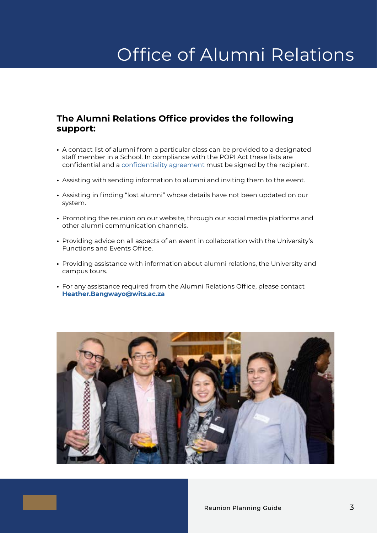# Office of Alumni Relations

### **The Alumni Relations Office provides the following support:**

- **•** A contact list of alumni from a particular class can be provided to a designated staff member in a School. In compliance with the POPI Act these lists are confidential and a [confidentiality agreement](https://www.wits.ac.za/alumni/alumni-events/events-documents) must be signed by the recipient.
- **•** Assisting with sending information to alumni and inviting them to the event.
- **•** Assisting in finding "lost alumni" whose details have not been updated on our system.
- **•** Promoting the reunion on our website, through our social media platforms and other alumni communication channels.
- **•** Providing advice on all aspects of an event in collaboration with the University's Functions and Events Office.
- **•** Providing assistance with information about alumni relations, the University and campus tours.
- **•** For any assistance required from the Alumni Relations Office, please contact **[Heather.Bangwayo@wits.ac.za](mailto:Heather.Bangwayo%40wits.ac.za?subject=)**

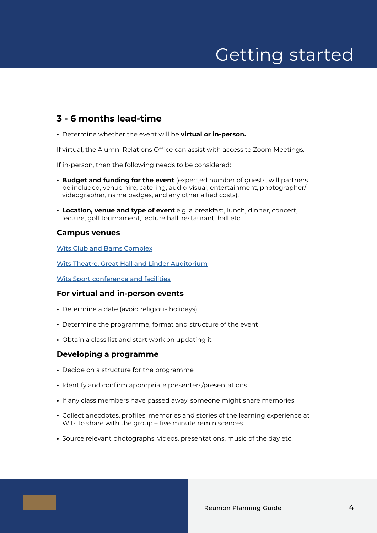# Getting started

### **3 - 6 months lead-time**

**•** Determine whether the event will be **virtual or in-person.**

If virtual, the Alumni Relations Office can assist with access to Zoom Meetings.

If in-person, then the following needs to be considered:

- **• Budget and funding for the event** (expected number of guests, will partners be included, venue hire, catering, audio-visual, entertainment, photographer/ videographer, name badges, and any other allied costs).
- **• Location, venue and type of event** e.g. a breakfast, lunch, dinner, concert, lecture, golf tournament, lecture hall, restaurant, hall etc.

#### **Campus venues**

[Wits Club and Barns Complex](https://www.wits.ac.za/campus-life/eateries/the-wits-club/)

[Wits Theatre, Great Hall and Linder Auditorium](https://www.wits.ac.za/witstheatre/venues-and-bookings/)

[Wits Sport conference and facilities](https://www.wits.ac.za/sport/wits-sport-conference-centre/)

### **For virtual and in-person events**

- **•** Determine a date (avoid religious holidays)
- **•** Determine the programme, format and structure of the event
- **•** Obtain a class list and start work on updating it

### **Developing a programme**

- **•** Decide on a structure for the programme
- **•** Identify and confirm appropriate presenters/presentations
- **•** If any class members have passed away, someone might share memories
- **•** Collect anecdotes, profiles, memories and stories of the learning experience at Wits to share with the group – five minute reminiscences
- **•** Source relevant photographs, videos, presentations, music of the day etc.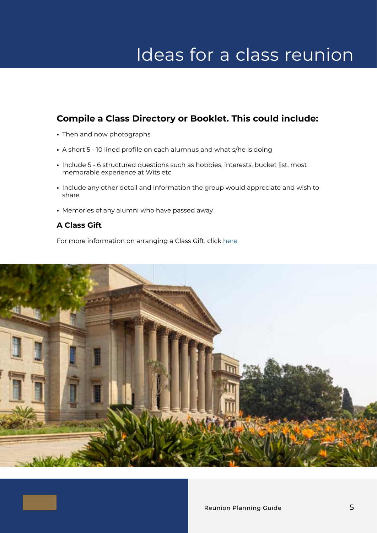# Ideas for a class reunion

### **Compile a Class Directory or Booklet. This could include:**

- **•** Then and now photographs
- **•** A short 5 10 lined profile on each alumnus and what s/he is doing
- **•** Include 5 6 structured questions such as hobbies, interests, bucket list, most memorable experience at Wits etc
- **•** Include any other detail and information the group would appreciate and wish to share
- **•** Memories of any alumni who have passed away

### **A Class Gift**

For more information on arranging a Class Gift, click [here](https://www.wits.ac.za/givingtowits/contact-us/#:~:text=Individual%20Giving%20and%20legacy%3A,Tel%3A%2027%2011%20717%209886)

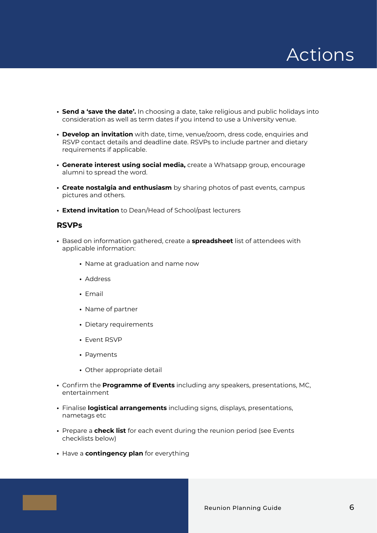

- **• Send a 'save the date'.** In choosing a date, take religious and public holidays into consideration as well as term dates if you intend to use a University venue.
- **• Develop an invitation** with date, time, venue/zoom, dress code, enquiries and RSVP contact details and deadline date. RSVPs to include partner and dietary requirements if applicable.
- **• Generate interest using social media,** create a Whatsapp group, encourage alumni to spread the word.
- **• Create nostalgia and enthusiasm** by sharing photos of past events, campus pictures and others.
- **• Extend invitation** to Dean/Head of School/past lecturers

#### **RSVPs**

- **•** Based on information gathered, create a **spreadsheet** list of attendees with applicable information:
	- **•** Name at graduation and name now
	- **•** Address
	- **•** Email
	- **•** Name of partner
	- **•** Dietary requirements
	- **•** Event RSVP
	- **•** Payments
	- **•** Other appropriate detail
- **•** Confirm the **Programme of Events** including any speakers, presentations, MC, entertainment
- **•** Finalise **logistical arrangements** including signs, displays, presentations, nametags etc
- **•** Prepare a **check list** for each event during the reunion period (see Events checklists below)
- **•** Have a **contingency plan** for everything

Reunion Planning Guide 6